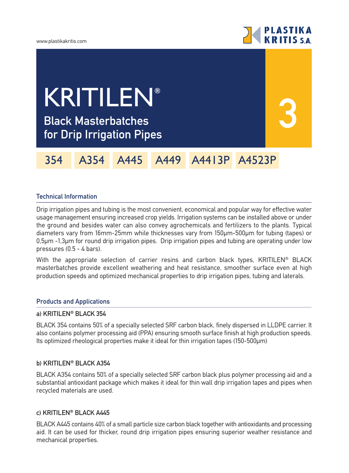



**3**

# **Black Masterbatches for Drip Irrigation Pipes** KRITILEN**®**

354 A354 A445 A449 A4413P A4523P

## **Technical Information**

Drip irrigation pipes and tubing is the most convenient, economical and popular way for effective water usage management ensuring increased crop yields. Irrigation systems can be installed above or under the ground and besides water can also convey agrochemicals and fertilizers to the plants. Typical diameters vary from 16mm-25mm while thicknesses vary from 150µm-500µm for tubing (tapes) or 0,5µm -1,3µm for round drip irrigation pipes. Drip irrigation pipes and tubing are operating under low pressures (0.5 - 4 bars).

With the appropriate selection of carrier resins and carbon black types, KRITILEN<sup>®</sup> BLACK masterbatches provide excellent weathering and heat resistance, smoother surface even at high production speeds and optimized mechanical properties to drip irrigation pipes, tubing and laterals.

### **Products and Applications**

### **a) KRITILEN® BLACK 354**

BLACK 354 contains 50% of a specially selected SRF carbon black, finely dispersed in LLDPE carrier. It also contains polymer processing aid (PPA) ensuring smooth surface finish at high production speeds. Its optimized rheological properties make it ideal for thin irrigation tapes (150-500µm)

### **b) KRITILEN® BLACK A354**

BLACK A354 contains 50% of a specially selected SRF carbon black plus polymer processing aid and a substantial antioxidant package which makes it ideal for thin wall drip irrigation tapes and pipes when recycled materials are used.

### **c) KRITILEN® BLACK A445**

BLACK A445 contains 40% of a small particle size carbon black together with antioxidants and processing aid. It can be used for thicker, round drip irrigation pipes ensuring superior weather resistance and mechanical properties.